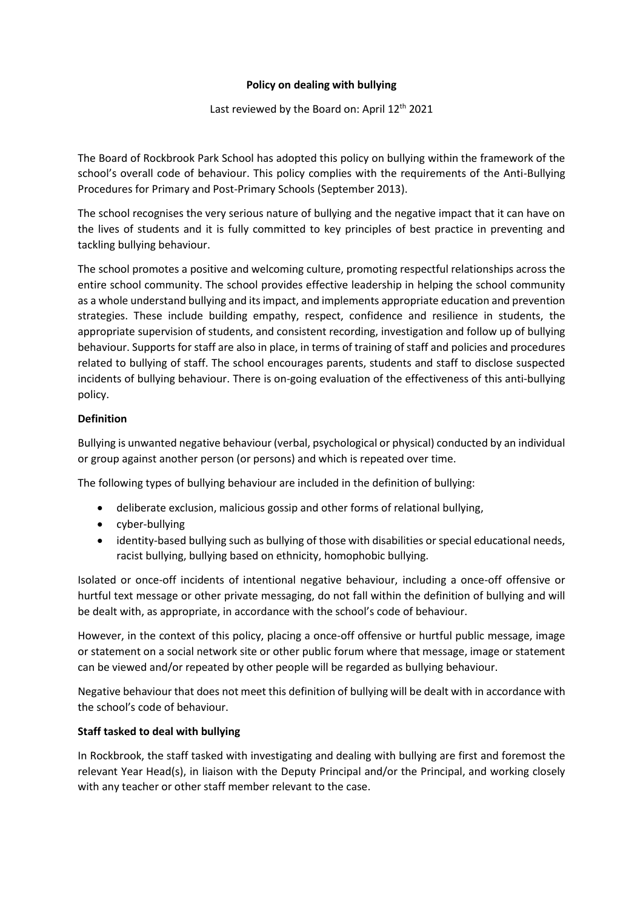## **Policy on dealing with bullying**

## Last reviewed by the Board on: April 12<sup>th</sup> 2021

The Board of Rockbrook Park School has adopted this policy on bullying within the framework of the school's overall code of behaviour. This policy complies with the requirements of the Anti-Bullying Procedures for Primary and Post-Primary Schools (September 2013).

The school recognises the very serious nature of bullying and the negative impact that it can have on the lives of students and it is fully committed to key principles of best practice in preventing and tackling bullying behaviour.

The school promotes a positive and welcoming culture, promoting respectful relationships across the entire school community. The school provides effective leadership in helping the school community as a whole understand bullying and its impact, and implements appropriate education and prevention strategies. These include building empathy, respect, confidence and resilience in students, the appropriate supervision of students, and consistent recording, investigation and follow up of bullying behaviour. Supports for staff are also in place, in terms of training of staff and policies and procedures related to bullying of staff. The school encourages parents, students and staff to disclose suspected incidents of bullying behaviour. There is on-going evaluation of the effectiveness of this anti-bullying policy.

## **Definition**

Bullying is unwanted negative behaviour (verbal, psychological or physical) conducted by an individual or group against another person (or persons) and which is repeated over time.

The following types of bullying behaviour are included in the definition of bullying:

- deliberate exclusion, malicious gossip and other forms of relational bullying,
- cyber-bullying
- identity-based bullying such as bullying of those with disabilities or special educational needs, racist bullying, bullying based on ethnicity, homophobic bullying.

Isolated or once-off incidents of intentional negative behaviour, including a once-off offensive or hurtful text message or other private messaging, do not fall within the definition of bullying and will be dealt with, as appropriate, in accordance with the school's code of behaviour.

However, in the context of this policy, placing a once-off offensive or hurtful public message, image or statement on a social network site or other public forum where that message, image or statement can be viewed and/or repeated by other people will be regarded as bullying behaviour.

Negative behaviour that does not meet this definition of bullying will be dealt with in accordance with the school's code of behaviour.

# **Staff tasked to deal with bullying**

In Rockbrook, the staff tasked with investigating and dealing with bullying are first and foremost the relevant Year Head(s), in liaison with the Deputy Principal and/or the Principal, and working closely with any teacher or other staff member relevant to the case.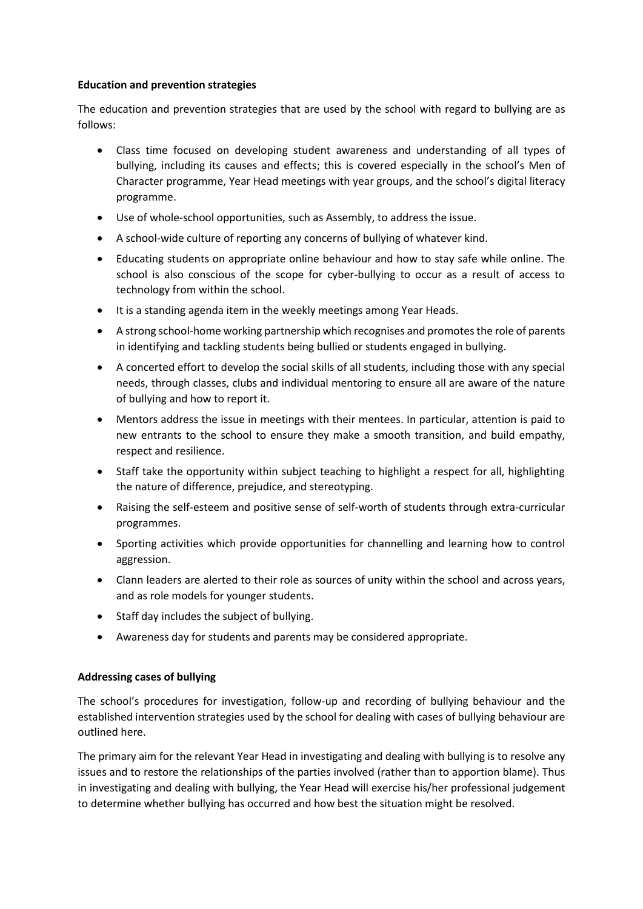## **Education and prevention strategies**

The education and prevention strategies that are used by the school with regard to bullying are as follows:

- Class time focused on developing student awareness and understanding of all types of bullying, including its causes and effects; this is covered especially in the school's Men of Character programme, Year Head meetings with year groups, and the school's digital literacy programme.
- Use of whole-school opportunities, such as Assembly, to address the issue.
- A school-wide culture of reporting any concerns of bullying of whatever kind.
- Educating students on appropriate online behaviour and how to stay safe while online. The school is also conscious of the scope for cyber-bullying to occur as a result of access to technology from within the school.
- It is a standing agenda item in the weekly meetings among Year Heads.
- A strong school-home working partnership which recognises and promotes the role of parents in identifying and tackling students being bullied or students engaged in bullying.
- A concerted effort to develop the social skills of all students, including those with any special needs, through classes, clubs and individual mentoring to ensure all are aware of the nature of bullying and how to report it.
- Mentors address the issue in meetings with their mentees. In particular, attention is paid to new entrants to the school to ensure they make a smooth transition, and build empathy, respect and resilience.
- Staff take the opportunity within subject teaching to highlight a respect for all, highlighting the nature of difference, prejudice, and stereotyping.
- Raising the self-esteem and positive sense of self-worth of students through extra-curricular programmes.
- Sporting activities which provide opportunities for channelling and learning how to control aggression.
- Clann leaders are alerted to their role as sources of unity within the school and across years, and as role models for younger students.
- Staff day includes the subject of bullying.
- Awareness day for students and parents may be considered appropriate.

# **Addressing cases of bullying**

The school's procedures for investigation, follow-up and recording of bullying behaviour and the established intervention strategies used by the school for dealing with cases of bullying behaviour are outlined here.

The primary aim for the relevant Year Head in investigating and dealing with bullying is to resolve any issues and to restore the relationships of the parties involved (rather than to apportion blame). Thus in investigating and dealing with bullying, the Year Head will exercise his/her professional judgement to determine whether bullying has occurred and how best the situation might be resolved.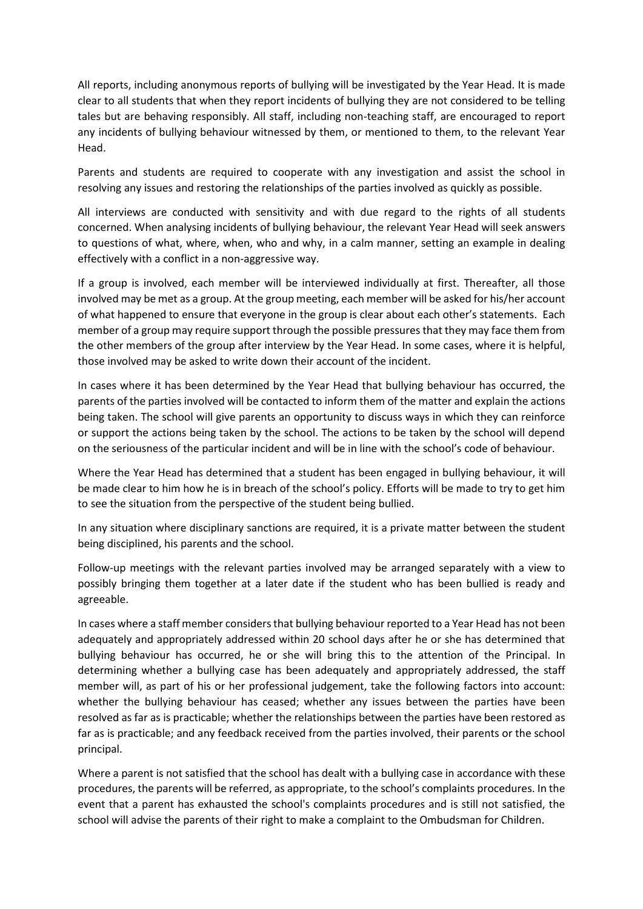All reports, including anonymous reports of bullying will be investigated by the Year Head. It is made clear to all students that when they report incidents of bullying they are not considered to be telling tales but are behaving responsibly. All staff, including non-teaching staff, are encouraged to report any incidents of bullying behaviour witnessed by them, or mentioned to them, to the relevant Year Head.

Parents and students are required to cooperate with any investigation and assist the school in resolving any issues and restoring the relationships of the parties involved as quickly as possible.

All interviews are conducted with sensitivity and with due regard to the rights of all students concerned. When analysing incidents of bullying behaviour, the relevant Year Head will seek answers to questions of what, where, when, who and why, in a calm manner, setting an example in dealing effectively with a conflict in a non-aggressive way.

If a group is involved, each member will be interviewed individually at first. Thereafter, all those involved may be met as a group. At the group meeting, each member will be asked for his/her account of what happened to ensure that everyone in the group is clear about each other's statements. Each member of a group may require support through the possible pressures that they may face them from the other members of the group after interview by the Year Head. In some cases, where it is helpful, those involved may be asked to write down their account of the incident.

In cases where it has been determined by the Year Head that bullying behaviour has occurred, the parents of the parties involved will be contacted to inform them of the matter and explain the actions being taken. The school will give parents an opportunity to discuss ways in which they can reinforce or support the actions being taken by the school. The actions to be taken by the school will depend on the seriousness of the particular incident and will be in line with the school's code of behaviour.

Where the Year Head has determined that a student has been engaged in bullying behaviour, it will be made clear to him how he is in breach of the school's policy. Efforts will be made to try to get him to see the situation from the perspective of the student being bullied.

In any situation where disciplinary sanctions are required, it is a private matter between the student being disciplined, his parents and the school.

Follow-up meetings with the relevant parties involved may be arranged separately with a view to possibly bringing them together at a later date if the student who has been bullied is ready and agreeable.

In cases where a staff member considers that bullying behaviour reported to a Year Head has not been adequately and appropriately addressed within 20 school days after he or she has determined that bullying behaviour has occurred, he or she will bring this to the attention of the Principal. In determining whether a bullying case has been adequately and appropriately addressed, the staff member will, as part of his or her professional judgement, take the following factors into account: whether the bullying behaviour has ceased; whether any issues between the parties have been resolved as far as is practicable; whether the relationships between the parties have been restored as far as is practicable; and any feedback received from the parties involved, their parents or the school principal.

Where a parent is not satisfied that the school has dealt with a bullying case in accordance with these procedures, the parents will be referred, as appropriate, to the school's complaints procedures. In the event that a parent has exhausted the school's complaints procedures and is still not satisfied, the school will advise the parents of their right to make a complaint to the Ombudsman for Children.